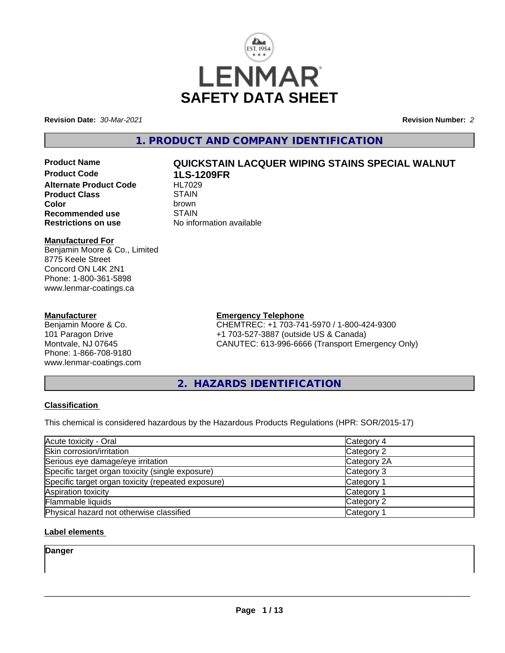

**Revision Date:** *30-Mar-2021* **Revision Number:** *2*

#### **1. PRODUCT AND COMPANY IDENTIFICATION**

**Product Code 1LS-1209FR Alternate Product Code HL7029**<br>Product Class STAIN **Product Class** STAIN<br> **Color Recommended use** STAIN<br>**Restrictions on use** No info

# **Product Name QUICKSTAIN LACQUER WIPING STAINS SPECIAL WALNUT**

**Color** brown **No information available** 

#### **Manufactured For**

Benjamin Moore & Co., Limited 8775 Keele Street Concord ON L4K 2N1 Phone: 1-800-361-5898 www.lenmar-coatings.ca

#### **Manufacturer**

Benjamin Moore & Co. 101 Paragon Drive Montvale, NJ 07645 Phone: 1-866-708-9180 www.lenmar-coatings.com

### **Emergency Telephone**

CHEMTREC: +1 703-741-5970 / 1-800-424-9300 +1 703-527-3887 (outside US & Canada) CANUTEC: 613-996-6666 (Transport Emergency Only)

**2. HAZARDS IDENTIFICATION**

#### **Classification**

This chemical is considered hazardous by the Hazardous Products Regulations (HPR: SOR/2015-17)

| Acute toxicity - Oral                              | Category 4  |  |
|----------------------------------------------------|-------------|--|
| Skin corrosion/irritation                          | Category 2  |  |
| Serious eye damage/eye irritation                  | Category 2A |  |
| Specific target organ toxicity (single exposure)   | Category 3  |  |
| Specific target organ toxicity (repeated exposure) | Category 1  |  |
| Aspiration toxicity                                | Category 1  |  |
| Flammable liquids                                  | Category 2  |  |
| Physical hazard not otherwise classified           | Category 1  |  |

#### **Label elements**

**Danger**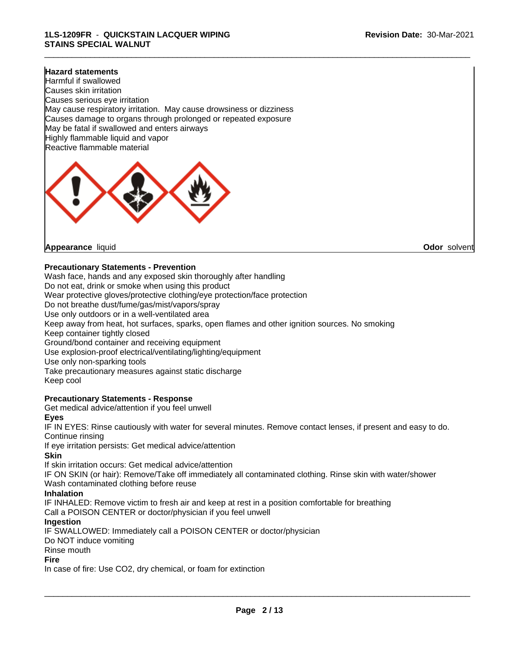#### **Hazard statements**

Harmful if swallowed Causes skin irritation Causes serious eye irritation May cause respiratory irritation. May cause drowsiness or dizziness Causes damage to organs through prolonged or repeated exposure May be fatal if swallowed and enters airways Highly flammable liquid and vapor Reactive flammable material



**Appearance** liquid **Odor** solvent

#### **Precautionary Statements - Prevention**

Wash face, hands and any exposed skin thoroughly after handling Do not eat, drink or smoke when using this product Wear protective gloves/protective clothing/eye protection/face protection Do not breathe dust/fume/gas/mist/vapors/spray Use only outdoors or in a well-ventilated area Keep away from heat, hot surfaces, sparks, open flames and other ignition sources. No smoking Keep container tightly closed Ground/bond container and receiving equipment Use explosion-proof electrical/ventilating/lighting/equipment Use only non-sparking tools Take precautionary measures against static discharge Keep cool

#### **Precautionary Statements - Response**

Get medical advice/attention if you feel unwell

#### **Eyes**

IF IN EYES: Rinse cautiously with water for several minutes. Remove contact lenses, if present and easy to do. Continue rinsing

If eye irritation persists: Get medical advice/attention

#### **Skin**

If skin irritation occurs: Get medical advice/attention

IF ON SKIN (or hair): Remove/Take off immediately all contaminated clothing. Rinse skin with water/shower Wash contaminated clothing before reuse

#### **Inhalation**

IF INHALED: Remove victim to fresh air and keep at rest in a position comfortable for breathing Call a POISON CENTER or doctor/physician if you feel unwell

#### **Ingestion**

IF SWALLOWED: Immediately call a POISON CENTER or doctor/physician

Do NOT induce vomiting

Rinse mouth

#### **Fire**

In case of fire: Use CO2, dry chemical, or foam for extinction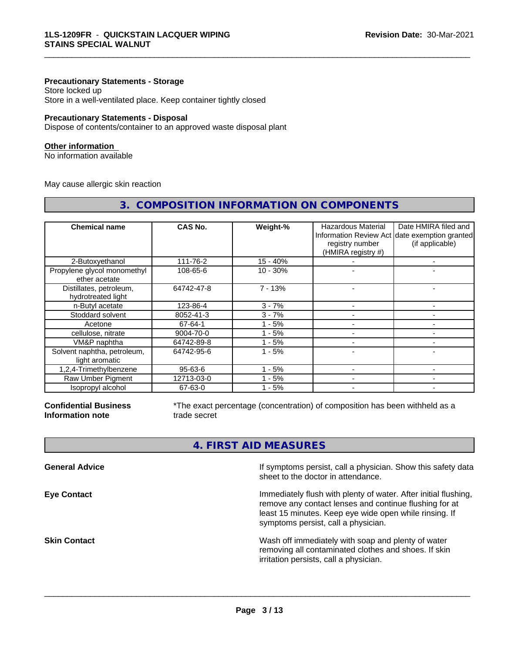#### **Precautionary Statements - Storage**

Store locked up Store in a well-ventilated place. Keep container tightly closed

#### **Precautionary Statements - Disposal**

Dispose of contents/container to an approved waste disposal plant

#### **Other information**

No information available

May cause allergic skin reaction

| <b>Chemical name</b>                          | CAS No.       | Weight-%   | Hazardous Material<br>registry number<br>(HMIRA registry #) | Date HMIRA filed and<br>Information Review Act date exemption granted<br>(if applicable) |
|-----------------------------------------------|---------------|------------|-------------------------------------------------------------|------------------------------------------------------------------------------------------|
| 2-Butoxyethanol                               | 111-76-2      | $15 - 40%$ |                                                             |                                                                                          |
| Propylene glycol monomethyl<br>ether acetate  | 108-65-6      | $10 - 30%$ |                                                             |                                                                                          |
| Distillates, petroleum,<br>hydrotreated light | 64742-47-8    | $7 - 13%$  |                                                             |                                                                                          |
| n-Butyl acetate                               | 123-86-4      | $3 - 7%$   |                                                             | -                                                                                        |
| Stoddard solvent                              | 8052-41-3     | $3 - 7%$   |                                                             | -                                                                                        |
| Acetone                                       | 67-64-1       | $1 - 5%$   |                                                             | -                                                                                        |
| cellulose, nitrate                            | 9004-70-0     | $1 - 5%$   |                                                             |                                                                                          |
| VM&P naphtha                                  | 64742-89-8    | $1 - 5%$   |                                                             |                                                                                          |
| Solvent naphtha, petroleum,<br>light aromatic | 64742-95-6    | $1 - 5%$   |                                                             |                                                                                          |
| 1,2,4-Trimethylbenzene                        | $95 - 63 - 6$ | $-5%$      |                                                             |                                                                                          |
| Raw Umber Pigment                             | 12713-03-0    | - 5%       |                                                             |                                                                                          |
| Isopropyl alcohol                             | 67-63-0       | - 5%       |                                                             |                                                                                          |

**3. COMPOSITION INFORMATION ON COMPONENTS**

**Confidential Business Information note**

\*The exact percentage (concentration) of composition has been withheld as a trade secret

\_\_\_\_\_\_\_\_\_\_\_\_\_\_\_\_\_\_\_\_\_\_\_\_\_\_\_\_\_\_\_\_\_\_\_\_\_\_\_\_\_\_\_\_\_\_\_\_\_\_\_\_\_\_\_\_\_\_\_\_\_\_\_\_\_\_\_\_\_\_\_\_\_\_\_\_\_\_\_\_\_\_\_\_\_\_\_\_\_\_\_\_\_

#### **4. FIRST AID MEASURES**

| <b>General Advice</b> | If symptoms persist, call a physician. Show this safety data<br>sheet to the doctor in attendance.                                                                                                                         |
|-----------------------|----------------------------------------------------------------------------------------------------------------------------------------------------------------------------------------------------------------------------|
| <b>Eye Contact</b>    | Immediately flush with plenty of water. After initial flushing,<br>remove any contact lenses and continue flushing for at<br>least 15 minutes. Keep eye wide open while rinsing. If<br>symptoms persist, call a physician. |
| <b>Skin Contact</b>   | Wash off immediately with soap and plenty of water<br>removing all contaminated clothes and shoes. If skin<br>irritation persists, call a physician.                                                                       |
|                       |                                                                                                                                                                                                                            |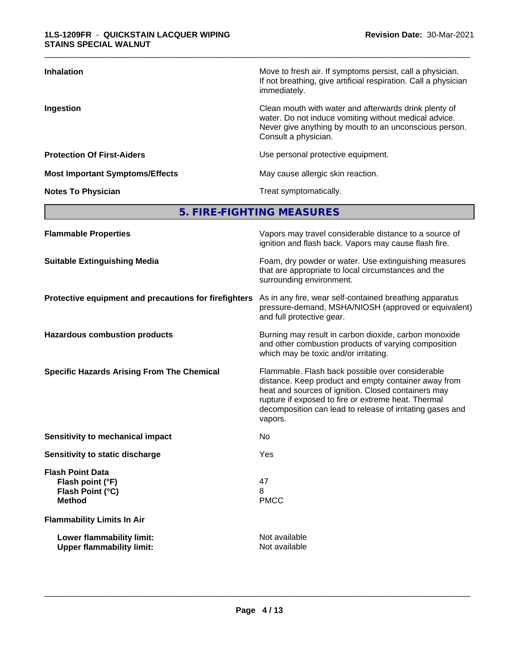| <b>Inhalation</b>                      | Move to fresh air. If symptoms persist, call a physician.<br>If not breathing, give artificial respiration. Call a physician<br>immediately.                                                     |
|----------------------------------------|--------------------------------------------------------------------------------------------------------------------------------------------------------------------------------------------------|
| Ingestion                              | Clean mouth with water and afterwards drink plenty of<br>water. Do not induce vomiting without medical advice.<br>Never give anything by mouth to an unconscious person.<br>Consult a physician. |
| <b>Protection Of First-Aiders</b>      | Use personal protective equipment.                                                                                                                                                               |
| <b>Most Important Symptoms/Effects</b> | May cause allergic skin reaction.                                                                                                                                                                |
| <b>Notes To Physician</b>              | Treat symptomatically.                                                                                                                                                                           |

**5. FIRE-FIGHTING MEASURES**

| <b>Flammable Properties</b>                                                      | Vapors may travel considerable distance to a source of<br>ignition and flash back. Vapors may cause flash fire.                                                                                                                                                                                |
|----------------------------------------------------------------------------------|------------------------------------------------------------------------------------------------------------------------------------------------------------------------------------------------------------------------------------------------------------------------------------------------|
| <b>Suitable Extinguishing Media</b>                                              | Foam, dry powder or water. Use extinguishing measures<br>that are appropriate to local circumstances and the<br>surrounding environment.                                                                                                                                                       |
| Protective equipment and precautions for firefighters                            | As in any fire, wear self-contained breathing apparatus<br>pressure-demand, MSHA/NIOSH (approved or equivalent)<br>and full protective gear.                                                                                                                                                   |
| <b>Hazardous combustion products</b>                                             | Burning may result in carbon dioxide, carbon monoxide<br>and other combustion products of varying composition<br>which may be toxic and/or irritating.                                                                                                                                         |
| <b>Specific Hazards Arising From The Chemical</b>                                | Flammable. Flash back possible over considerable<br>distance. Keep product and empty container away from<br>heat and sources of ignition. Closed containers may<br>rupture if exposed to fire or extreme heat. Thermal<br>decomposition can lead to release of irritating gases and<br>vapors. |
| <b>Sensitivity to mechanical impact</b>                                          | No                                                                                                                                                                                                                                                                                             |
| Sensitivity to static discharge                                                  | Yes                                                                                                                                                                                                                                                                                            |
| <b>Flash Point Data</b><br>Flash point (°F)<br>Flash Point (°C)<br><b>Method</b> | 47<br>8<br><b>PMCC</b>                                                                                                                                                                                                                                                                         |
| <b>Flammability Limits In Air</b>                                                |                                                                                                                                                                                                                                                                                                |
| Lower flammability limit:<br><b>Upper flammability limit:</b>                    | Not available<br>Not available                                                                                                                                                                                                                                                                 |
|                                                                                  |                                                                                                                                                                                                                                                                                                |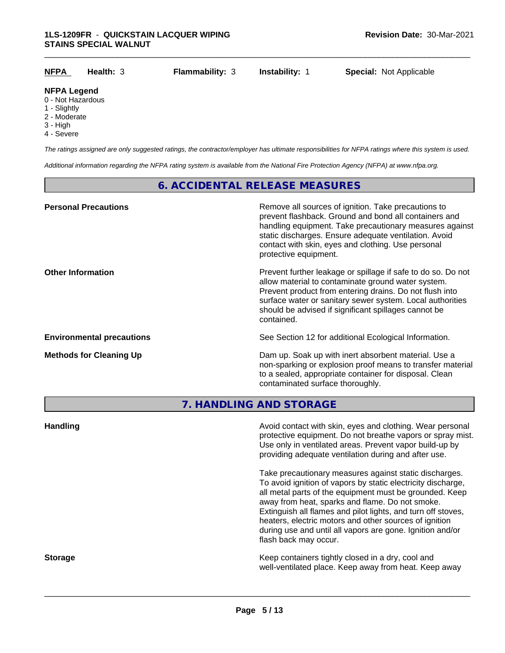| <b>NFPA</b>                       | Health: $3$ | <b>Flammability: 3</b> | <b>Instability:</b> | <b>Special: Not Applicable</b> |  |
|-----------------------------------|-------------|------------------------|---------------------|--------------------------------|--|
| <b>NFPA Legend</b>                |             |                        |                     |                                |  |
| 0 - Not Hazardous<br>1 - Slightly |             |                        |                     |                                |  |
| 2 - Moderate                      |             |                        |                     |                                |  |

- Moderate 3 - High
- 
- 4 Severe

*The ratings assigned are only suggested ratings, the contractor/employer has ultimate responsibilities for NFPA ratings where this system is used.*

*Additional information regarding the NFPA rating system is available from the National Fire Protection Agency (NFPA) at www.nfpa.org.*

#### **6. ACCIDENTAL RELEASE MEASURES**

| <b>Personal Precautions</b>      | Remove all sources of ignition. Take precautions to<br>prevent flashback. Ground and bond all containers and<br>handling equipment. Take precautionary measures against<br>static discharges. Ensure adequate ventilation. Avoid<br>contact with skin, eyes and clothing. Use personal<br>protective equipment.  |
|----------------------------------|------------------------------------------------------------------------------------------------------------------------------------------------------------------------------------------------------------------------------------------------------------------------------------------------------------------|
| <b>Other Information</b>         | Prevent further leakage or spillage if safe to do so. Do not<br>allow material to contaminate ground water system.<br>Prevent product from entering drains. Do not flush into<br>surface water or sanitary sewer system. Local authorities<br>should be advised if significant spillages cannot be<br>contained. |
| <b>Environmental precautions</b> | See Section 12 for additional Ecological Information.                                                                                                                                                                                                                                                            |
| <b>Methods for Cleaning Up</b>   | Dam up. Soak up with inert absorbent material. Use a<br>non-sparking or explosion proof means to transfer material<br>to a sealed, appropriate container for disposal. Clean<br>contaminated surface thoroughly.                                                                                                 |

**7. HANDLING AND STORAGE**

| <b>Handling</b> | Avoid contact with skin, eyes and clothing. Wear personal<br>protective equipment. Do not breathe vapors or spray mist.<br>Use only in ventilated areas. Prevent vapor build-up by<br>providing adequate ventilation during and after use.                                                                                                                                                                                                           |
|-----------------|------------------------------------------------------------------------------------------------------------------------------------------------------------------------------------------------------------------------------------------------------------------------------------------------------------------------------------------------------------------------------------------------------------------------------------------------------|
|                 | Take precautionary measures against static discharges.<br>To avoid ignition of vapors by static electricity discharge,<br>all metal parts of the equipment must be grounded. Keep<br>away from heat, sparks and flame. Do not smoke.<br>Extinguish all flames and pilot lights, and turn off stoves,<br>heaters, electric motors and other sources of ignition<br>during use and until all vapors are gone. Ignition and/or<br>flash back may occur. |
| <b>Storage</b>  | Keep containers tightly closed in a dry, cool and<br>well-ventilated place. Keep away from heat. Keep away                                                                                                                                                                                                                                                                                                                                           |
|                 |                                                                                                                                                                                                                                                                                                                                                                                                                                                      |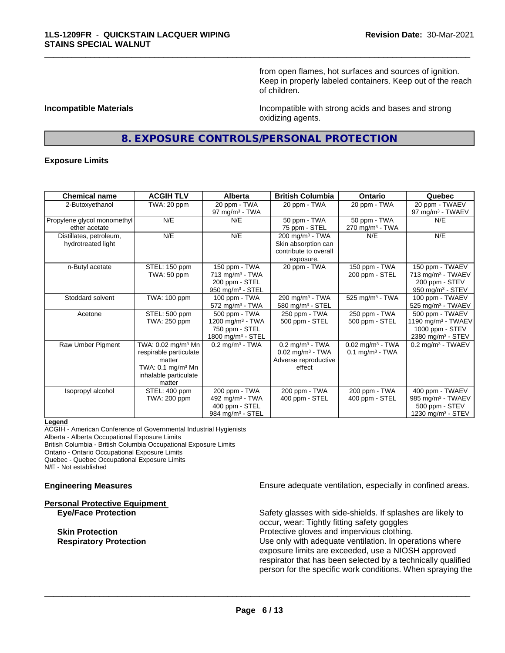from open flames, hot surfaces and sources of ignition. Keep in properly labeled containers. Keep out of the reach of children.

**Incompatible Materials Incompatible with strong acids and bases and strong** oxidizing agents.

#### **8. EXPOSURE CONTROLS/PERSONAL PROTECTION**

\_\_\_\_\_\_\_\_\_\_\_\_\_\_\_\_\_\_\_\_\_\_\_\_\_\_\_\_\_\_\_\_\_\_\_\_\_\_\_\_\_\_\_\_\_\_\_\_\_\_\_\_\_\_\_\_\_\_\_\_\_\_\_\_\_\_\_\_\_\_\_\_\_\_\_\_\_\_\_\_\_\_\_\_\_\_\_\_\_\_\_\_\_

#### **Exposure Limits**

| <b>Chemical name</b>                          | <b>ACGIH TLV</b>                                                                                                                      | <b>Alberta</b>                                                                                 | <b>British Columbia</b>                                                                           | <b>Ontario</b>                                                  | Quebec                                                                                             |
|-----------------------------------------------|---------------------------------------------------------------------------------------------------------------------------------------|------------------------------------------------------------------------------------------------|---------------------------------------------------------------------------------------------------|-----------------------------------------------------------------|----------------------------------------------------------------------------------------------------|
| 2-Butoxyethanol                               | TWA: 20 ppm                                                                                                                           | 20 ppm - TWA<br>97 mg/m $3$ - TWA                                                              | 20 ppm - TWA                                                                                      | 20 ppm - TWA                                                    | 20 ppm - TWAEV<br>97 mg/m <sup>3</sup> - TWAEV                                                     |
| Propylene glycol monomethyl<br>ether acetate  | N/E                                                                                                                                   | N/E                                                                                            | 50 ppm - TWA<br>75 ppm - STEL                                                                     | 50 ppm - TWA<br>$270$ mg/m <sup>3</sup> - TWA                   | N/E                                                                                                |
| Distillates, petroleum,<br>hydrotreated light | N/E                                                                                                                                   | N/E                                                                                            | 200 mg/m $3$ - TWA<br>Skin absorption can<br>contribute to overall<br>exposure.                   | N/E                                                             | N/E                                                                                                |
| n-Butyl acetate                               | STEL: 150 ppm<br>TWA: 50 ppm                                                                                                          | 150 ppm - TWA<br>$713$ mg/m <sup>3</sup> - TWA<br>200 ppm - STEL<br>950 mg/m $3 -$ STEL        | 20 ppm - TWA                                                                                      | 150 ppm - TWA<br>200 ppm - STEL                                 | 150 ppm - TWAEV<br>713 mg/m <sup>3</sup> - TWAEV<br>200 ppm - STEV<br>950 mg/m <sup>3</sup> - STEV |
| Stoddard solvent                              | TWA: 100 ppm                                                                                                                          | 100 ppm - TWA<br>$572$ mg/m <sup>3</sup> - TWA                                                 | 290 mg/m <sup>3</sup> - TWA<br>580 mg/m <sup>3</sup> - STEL                                       | 525 mg/m <sup>3</sup> - TWA                                     | 100 ppm - TWAEV<br>525 mg/m <sup>3</sup> - TWAEV                                                   |
| Acetone                                       | STEL: 500 ppm<br>TWA: 250 ppm                                                                                                         | 500 ppm - TWA<br>1200 mg/m $3$ - TWA<br>750 ppm - STEL<br>1800 mg/m <sup>3</sup> - STEL        | 250 ppm - TWA<br>500 ppm - STEL                                                                   | 250 ppm - TWA<br>500 ppm - STEL                                 | 500 ppm - TWAEV<br>1190 mg/m $3$ - TWAEV<br>1000 ppm - STEV<br>2380 mg/m <sup>3</sup> - STEV       |
| Raw Umber Pigment                             | TWA: 0.02 mg/m <sup>3</sup> Mn<br>respirable particulate<br>matter<br>TWA: $0.1 \text{ mg/m}^3$ Mn<br>inhalable particulate<br>matter | $0.2$ mg/m <sup>3</sup> - TWA                                                                  | $0.2$ mg/m <sup>3</sup> - TWA<br>$0.02$ mg/m <sup>3</sup> - TWA<br>Adverse reproductive<br>effect | $0.02$ mg/m <sup>3</sup> - TWA<br>$0.1$ mg/m <sup>3</sup> - TWA | $0.2$ mg/m <sup>3</sup> - TWAEV                                                                    |
| Isopropyl alcohol                             | STEL: 400 ppm<br>TWA: 200 ppm                                                                                                         | 200 ppm - TWA<br>492 mg/m <sup>3</sup> - TWA<br>400 ppm - STEL<br>984 mg/m <sup>3</sup> - STEL | 200 ppm - TWA<br>400 ppm - STEL                                                                   | 200 ppm - TWA<br>400 ppm - STEL                                 | 400 ppm - TWAEV<br>985 mg/m <sup>3</sup> - TWAEV<br>500 ppm - STEV<br>1230 mg/m $3 -$ STEV         |

#### **Legend**

ACGIH - American Conference of Governmental Industrial Hygienists Alberta - Alberta Occupational Exposure Limits

British Columbia - British Columbia Occupational Exposure Limits

Ontario - Ontario Occupational Exposure Limits

Quebec - Quebec Occupational Exposure Limits

N/E - Not established

## **Personal Protective Equipment**

**Engineering Measures Ensure adequate ventilation, especially in confined areas.** 

**Eye/Face Protection** Safety glasses with side-shields. If splashes are likely to occur, wear: Tightly fitting safety goggles **Skin Protection Protection Protective gloves and impervious clothing. Respiratory Protection Network 1** Use only with adequate ventilation. In operations where exposure limits are exceeded, use a NIOSH approved respirator that has been selected by a technically qualified person for the specific work conditions. When spraying the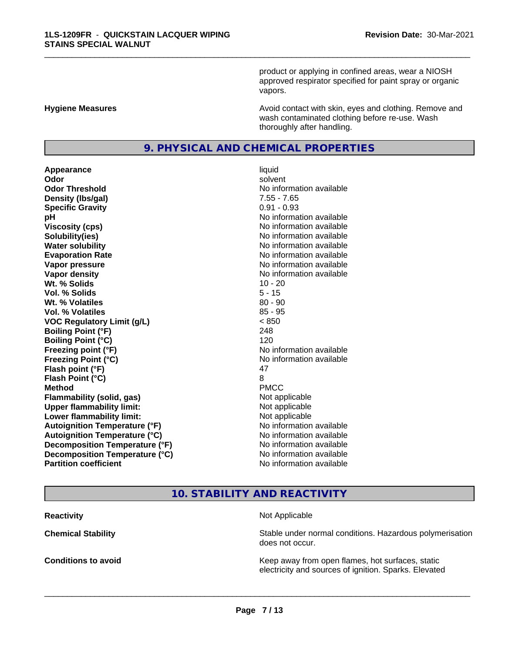product or applying in confined areas, wear a NIOSH approved respirator specified for paint spray or organic vapors.

**Hygiene Measures Avoid contact with skin, eyes and clothing. Remove and Avoid contact with skin, eyes and clothing. Remove and Avoid contact with skin, eyes and clothing. Remove and** wash contaminated clothing before re-use. Wash thoroughly after handling.

#### **9. PHYSICAL AND CHEMICAL PROPERTIES**

**Appearance** liquid **Odor** solvent **Odor Threshold** No information available **Density (lbs/gal)** 7.55 - 7.65 **Specific Gravity** 0.91 - 0.93 **pH pH**  $\blacksquare$ **Viscosity (cps)** No information available **Solubility(ies)** No information available **Water solubility** No information available **Evaporation Rate No information available No information available Vapor pressure** No information available **Vapor density No information available No information available Wt.** % Solids 10 - 20 **Vol. % Solids** 5 - 15 **Wt. % Volatiles** 80 - 90 **Vol. % Volatiles** 85 - 95 **VOC Regulatory Limit (g/L)** < 850 **Boiling Point (°F)** 248 **Boiling Point (°C)** 120 **Freezing point (°F)** No information available **Freezing Point (°C)** The state of the Monometer of Noinformation available **Flash point (°F)** 47 **Flash Point (°C)** 8 **Method** PMCC **Flammability (solid, gas)** Not applicable **Upper flammability limit:** Not applicable **Lower flammability limit:** Not applicable **Autoignition Temperature (°F)** No information available **Autoignition Temperature (°C)** No information available **Decomposition Temperature (°F)**<br> **Decomposition Temperature (°C)** No information available **Decomposition Temperature (°C) Partition coefficient** No information available

\_\_\_\_\_\_\_\_\_\_\_\_\_\_\_\_\_\_\_\_\_\_\_\_\_\_\_\_\_\_\_\_\_\_\_\_\_\_\_\_\_\_\_\_\_\_\_\_\_\_\_\_\_\_\_\_\_\_\_\_\_\_\_\_\_\_\_\_\_\_\_\_\_\_\_\_\_\_\_\_\_\_\_\_\_\_\_\_\_\_\_\_\_

#### **10. STABILITY AND REACTIVITY**

**Reactivity Not Applicable Not Applicable** 

 $\overline{\phantom{a}}$  ,  $\overline{\phantom{a}}$  ,  $\overline{\phantom{a}}$  ,  $\overline{\phantom{a}}$  ,  $\overline{\phantom{a}}$  ,  $\overline{\phantom{a}}$  ,  $\overline{\phantom{a}}$  ,  $\overline{\phantom{a}}$  ,  $\overline{\phantom{a}}$  ,  $\overline{\phantom{a}}$  ,  $\overline{\phantom{a}}$  ,  $\overline{\phantom{a}}$  ,  $\overline{\phantom{a}}$  ,  $\overline{\phantom{a}}$  ,  $\overline{\phantom{a}}$  ,  $\overline{\phantom{a}}$ 

**Chemical Stability Stability** Stable under normal conditions. Hazardous polymerisation does not occur.

**Conditions to avoid Conditions to avoid Conditions keep** away from open flames, hot surfaces, static electricity and sources of ignition. Sparks. Elevated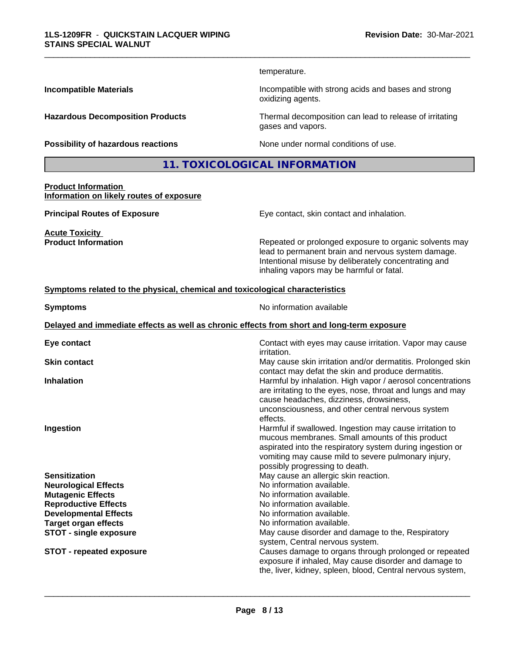temperature.

\_\_\_\_\_\_\_\_\_\_\_\_\_\_\_\_\_\_\_\_\_\_\_\_\_\_\_\_\_\_\_\_\_\_\_\_\_\_\_\_\_\_\_\_\_\_\_\_\_\_\_\_\_\_\_\_\_\_\_\_\_\_\_\_\_\_\_\_\_\_\_\_\_\_\_\_\_\_\_\_\_\_\_\_\_\_\_\_\_\_\_\_\_

**Incompatible Materials Incompatible with strong acids and bases and strong** oxidizing agents.

**Hazardous Decomposition Products** Thermal decomposition can lead to release of irritating gases and vapors.

**Possibility of hazardous reactions** None under normal conditions of use.

**11. TOXICOLOGICAL INFORMATION**

**Product Information Information on likely routes of exposure**

**Acute Toxicity**<br>**Product Information** 

**Principal Routes of Exposure Exposure** Eye contact, skin contact and inhalation.

Repeated or prolonged exposure to organic solvents may lead to permanent brain and nervous system damage. Intentional misuse by deliberately concentrating and inhaling vapors may be harmful or fatal.

#### **Symptoms related to the physical,chemical and toxicological characteristics**

**Symptoms** No information available **Delayed and immediate effects as well as chronic effects from short and long-term exposure**

| Eye contact                     | Contact with eyes may cause irritation. Vapor may cause<br><i>irritation.</i>                                                                                                                                                                                    |
|---------------------------------|------------------------------------------------------------------------------------------------------------------------------------------------------------------------------------------------------------------------------------------------------------------|
| <b>Skin contact</b>             | May cause skin irritation and/or dermatitis. Prolonged skin<br>contact may defat the skin and produce dermatitis.                                                                                                                                                |
| <b>Inhalation</b>               | Harmful by inhalation. High vapor / aerosol concentrations<br>are irritating to the eyes, nose, throat and lungs and may<br>cause headaches, dizziness, drowsiness,<br>unconsciousness, and other central nervous system<br>effects.                             |
| Ingestion                       | Harmful if swallowed. Ingestion may cause irritation to<br>mucous membranes. Small amounts of this product<br>aspirated into the respiratory system during ingestion or<br>vomiting may cause mild to severe pulmonary injury,<br>possibly progressing to death. |
| <b>Sensitization</b>            | May cause an allergic skin reaction.                                                                                                                                                                                                                             |
| <b>Neurological Effects</b>     | No information available.                                                                                                                                                                                                                                        |
| <b>Mutagenic Effects</b>        | No information available.                                                                                                                                                                                                                                        |
| <b>Reproductive Effects</b>     | No information available.                                                                                                                                                                                                                                        |
| <b>Developmental Effects</b>    | No information available.                                                                                                                                                                                                                                        |
| <b>Target organ effects</b>     | No information available.                                                                                                                                                                                                                                        |
| <b>STOT - single exposure</b>   | May cause disorder and damage to the, Respiratory<br>system, Central nervous system.                                                                                                                                                                             |
| <b>STOT - repeated exposure</b> | Causes damage to organs through prolonged or repeated<br>exposure if inhaled, May cause disorder and damage to<br>the, liver, kidney, spleen, blood, Central nervous system,                                                                                     |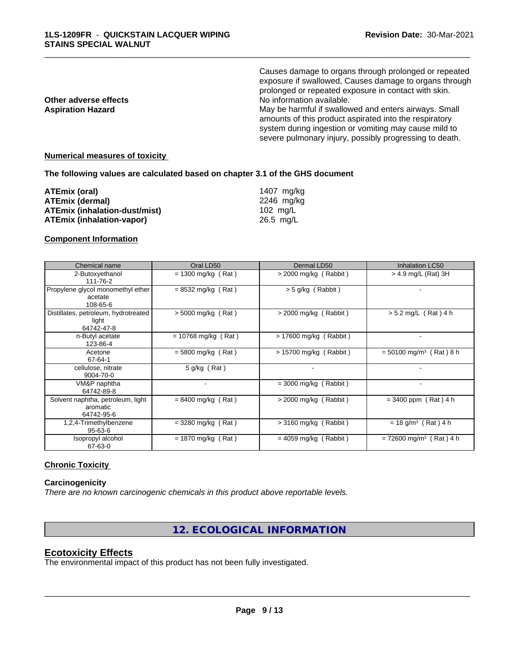|                          | Causes damage to organs through prolonged or repeated<br>exposure if swallowed, Causes damage to organs through                                                                                                                     |
|--------------------------|-------------------------------------------------------------------------------------------------------------------------------------------------------------------------------------------------------------------------------------|
|                          | prolonged or repeated exposure in contact with skin.                                                                                                                                                                                |
| Other adverse effects    | No information available.                                                                                                                                                                                                           |
| <b>Aspiration Hazard</b> | May be harmful if swallowed and enters airways. Small<br>amounts of this product aspirated into the respiratory<br>system during ingestion or vomiting may cause mild to<br>severe pulmonary injury, possibly progressing to death. |
|                          |                                                                                                                                                                                                                                     |

#### **Numerical measures of toxicity**

#### **The following values are calculated based on chapter 3.1 of the GHS document**

| ATEmix (oral)                        | 1407 mg/kg |
|--------------------------------------|------------|
| <b>ATEmix (dermal)</b>               | 2246 ma/ka |
| <b>ATEmix (inhalation-dust/mist)</b> | 102 mg/L   |
| <b>ATEmix (inhalation-vapor)</b>     | 26.5 mg/L  |

#### **Component Information**

| Chemical name                                               | Oral LD50             | Dermal LD50              | <b>Inhalation LC50</b>                |
|-------------------------------------------------------------|-----------------------|--------------------------|---------------------------------------|
| 2-Butoxyethanol<br>111-76-2                                 | $= 1300$ mg/kg (Rat)  | $>$ 2000 mg/kg (Rabbit)  | $>$ 4.9 mg/L (Rat) 3H                 |
| Propylene glycol monomethyl ether<br>acetate<br>108-65-6    | $= 8532$ mg/kg (Rat)  | $> 5$ g/kg (Rabbit)      |                                       |
| Distillates, petroleum, hydrotreated<br>light<br>64742-47-8 | $> 5000$ mg/kg (Rat)  | $>$ 2000 mg/kg (Rabbit)  | $> 5.2$ mg/L (Rat) 4 h                |
| n-Butyl acetate<br>123-86-4                                 | $= 10768$ mg/kg (Rat) | > 17600 mg/kg (Rabbit)   |                                       |
| Acetone<br>67-64-1                                          | $= 5800$ mg/kg (Rat)  | $> 15700$ mg/kg (Rabbit) | $= 50100$ mg/m <sup>3</sup> (Rat) 8 h |
| cellulose, nitrate<br>9004-70-0                             | 5 g/kg (Rat)          |                          |                                       |
| VM&P naphtha<br>64742-89-8                                  |                       | $=$ 3000 mg/kg (Rabbit)  |                                       |
| Solvent naphtha, petroleum, light<br>aromatic<br>64742-95-6 | $= 8400$ mg/kg (Rat)  | $>$ 2000 mg/kg (Rabbit)  | $= 3400$ ppm (Rat) 4 h                |
| 1,2,4-Trimethylbenzene<br>95-63-6                           | $=$ 3280 mg/kg (Rat)  | $>$ 3160 mg/kg (Rabbit)  | $= 18$ g/m <sup>3</sup> (Rat) 4 h     |
| Isopropyl alcohol<br>67-63-0                                | $= 1870$ mg/kg (Rat)  | $= 4059$ mg/kg (Rabbit)  | $= 72600$ mg/m <sup>3</sup> (Rat) 4 h |

#### **Chronic Toxicity**

#### **Carcinogenicity**

*There are no known carcinogenic chemicals in this product above reportable levels.*

**12. ECOLOGICAL INFORMATION**

### **Ecotoxicity Effects**

The environmental impact of this product has not been fully investigated.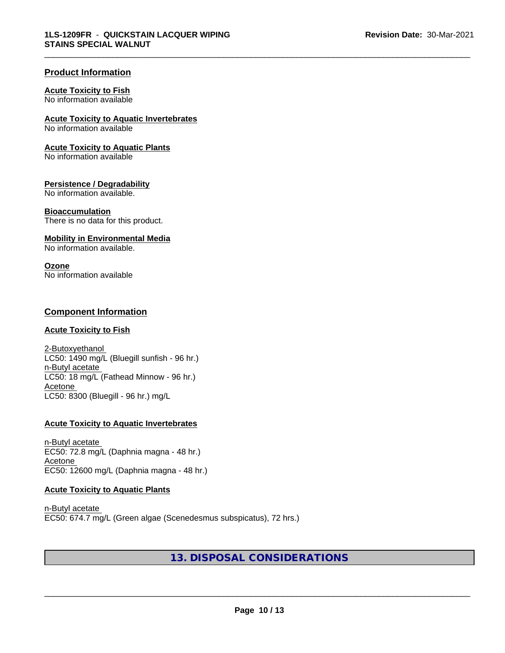#### **Product Information**

#### **Acute Toxicity to Fish**

No information available

#### **Acute Toxicity to Aquatic Invertebrates**

No information available

#### **Acute Toxicity to Aquatic Plants**

No information available

#### **Persistence / Degradability**

No information available.

#### **Bioaccumulation**

There is no data for this product.

#### **Mobility in Environmental Media**

No information available.

#### **Ozone**

No information available

#### **Component Information**

#### **Acute Toxicity to Fish**

2-Butoxyethanol LC50: 1490 mg/L (Bluegill sunfish - 96 hr.) n-Butyl acetate LC50: 18 mg/L (Fathead Minnow - 96 hr.) Acetone LC50: 8300 (Bluegill - 96 hr.) mg/L

#### **Acute Toxicity to Aquatic Invertebrates**

n-Butyl acetate EC50: 72.8 mg/L (Daphnia magna - 48 hr.) Acetone EC50: 12600 mg/L (Daphnia magna - 48 hr.)

#### **Acute Toxicity to Aquatic Plants**

n-Butyl acetate EC50: 674.7 mg/L (Green algae (Scenedesmus subspicatus), 72 hrs.)

### **13. DISPOSAL CONSIDERATIONS**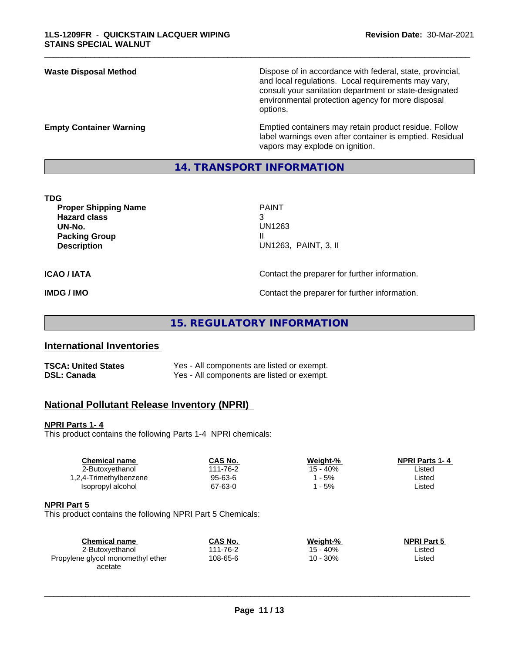**Waste Disposal Method Dispose of in accordance with federal, state, provincial,** and local regulations. Local requirements may vary, consult your sanitation department or state-designated environmental protection agency for more disposal options.

**Empty Container Warning** Emptied containers may retain product residue. Follow label warnings even after container is emptied. Residual vapors may explode on ignition.

#### **14. TRANSPORT INFORMATION**

\_\_\_\_\_\_\_\_\_\_\_\_\_\_\_\_\_\_\_\_\_\_\_\_\_\_\_\_\_\_\_\_\_\_\_\_\_\_\_\_\_\_\_\_\_\_\_\_\_\_\_\_\_\_\_\_\_\_\_\_\_\_\_\_\_\_\_\_\_\_\_\_\_\_\_\_\_\_\_\_\_\_\_\_\_\_\_\_\_\_\_\_\_

| <b>TDG</b>                  |                                               |
|-----------------------------|-----------------------------------------------|
| <b>Proper Shipping Name</b> | <b>PAINT</b>                                  |
| <b>Hazard class</b>         | 3                                             |
| UN-No.                      | UN1263                                        |
| <b>Packing Group</b>        |                                               |
| <b>Description</b>          | UN1263, PAINT, 3, II                          |
| <b>ICAO / IATA</b>          | Contact the preparer for further information. |
| <b>IMDG / IMO</b>           | Contact the preparer for further information. |

**15. REGULATORY INFORMATION**

#### **International Inventories**

| <b>TSCA: United States</b> | Yes - All components are listed or exempt. |
|----------------------------|--------------------------------------------|
| <b>DSL: Canada</b>         | Yes - All components are listed or exempt. |

#### **National Pollutant Release Inventory (NPRI)**

#### **NPRI Parts 1- 4**

This product contains the following Parts 1-4 NPRI chemicals:

| CAS No.  | Weight-% | <b>NPRI Parts 1-4</b> |
|----------|----------|-----------------------|
| 111-76-2 | 15 - 40% | ∟isted                |
| 95-63-6  | - 5%     | ∟isted                |
| 67-63-0  | $-5%$    | ∟isted                |
|          |          |                       |

#### **NPRI Part 5**

This product contains the following NPRI Part 5 Chemicals:

| <b>Chemical name</b>              | CAS No.  | Weight-% | <b>NPRI Part 5</b> |  |
|-----------------------------------|----------|----------|--------------------|--|
| 2-Butoxyethanol                   | 111-76-2 | 15 - 40% | Listed             |  |
| Propylene glycol monomethyl ether | 108-65-6 | 10 - 30% | Listed             |  |
| acetate                           |          |          |                    |  |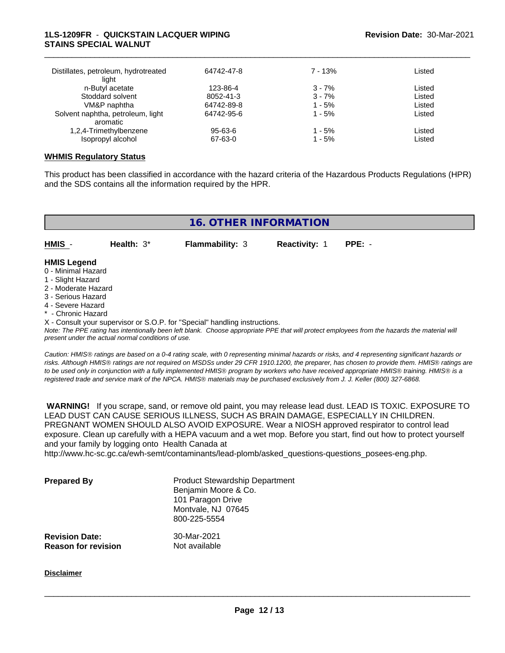#### **1LS-1209FR** - **QUICKSTAIN LACQUER WIPING STAINS SPECIAL WALNUT**

| Distillates, petroleum, hydrotreated<br>light | 64742-47-8 | $7 - 13%$ | Listed |  |
|-----------------------------------------------|------------|-----------|--------|--|
| n-Butyl acetate                               | 123-86-4   | $3 - 7%$  | Listed |  |
| Stoddard solvent                              | 8052-41-3  | $3 - 7%$  | Listed |  |
| VM&P naphtha                                  | 64742-89-8 | $1 - 5%$  | Listed |  |
| Solvent naphtha, petroleum, light             | 64742-95-6 | $1 - 5%$  | Listed |  |
| aromatic                                      |            |           |        |  |
| 1,2,4-Trimethylbenzene                        | 95-63-6    | 1 - 5%    | Listed |  |
| Isopropyl alcohol                             | 67-63-0    | $1 - 5%$  | Listed |  |

\_\_\_\_\_\_\_\_\_\_\_\_\_\_\_\_\_\_\_\_\_\_\_\_\_\_\_\_\_\_\_\_\_\_\_\_\_\_\_\_\_\_\_\_\_\_\_\_\_\_\_\_\_\_\_\_\_\_\_\_\_\_\_\_\_\_\_\_\_\_\_\_\_\_\_\_\_\_\_\_\_\_\_\_\_\_\_\_\_\_\_\_\_

#### **WHMIS Regulatory Status**

This product has been classified in accordance with the hazard criteria of the Hazardous Products Regulations (HPR) and the SDS contains all the information required by the HPR.

| <b>16. OTHER INFORMATION</b>                                                                                                                          |              |                        |                      |          |  |
|-------------------------------------------------------------------------------------------------------------------------------------------------------|--------------|------------------------|----------------------|----------|--|
| HMIS -                                                                                                                                                | Health: $3*$ | <b>Flammability: 3</b> | <b>Reactivity: 1</b> | $PPE: -$ |  |
| <b>HMIS Legend</b><br>0 - Minimal Hazard<br>1 - Slight Hazard<br>2 - Moderate Hazard<br>3 - Serious Hazard<br>4 - Severe Hazard<br>* - Chronic Hazard |              |                        |                      |          |  |

X - Consult your supervisor or S.O.P. for "Special" handling instructions.

*Note: The PPE rating has intentionally been left blank. Choose appropriate PPE that will protect employees from the hazards the material will present under the actual normal conditions of use.*

*Caution: HMISÒ ratings are based on a 0-4 rating scale, with 0 representing minimal hazards or risks, and 4 representing significant hazards or risks. Although HMISÒ ratings are not required on MSDSs under 29 CFR 1910.1200, the preparer, has chosen to provide them. HMISÒ ratings are to be used only in conjunction with a fully implemented HMISÒ program by workers who have received appropriate HMISÒ training. HMISÒ is a registered trade and service mark of the NPCA. HMISÒ materials may be purchased exclusively from J. J. Keller (800) 327-6868.*

 **WARNING!** If you scrape, sand, or remove old paint, you may release lead dust. LEAD IS TOXIC. EXPOSURE TO LEAD DUST CAN CAUSE SERIOUS ILLNESS, SUCH AS BRAIN DAMAGE, ESPECIALLY IN CHILDREN. PREGNANT WOMEN SHOULD ALSO AVOID EXPOSURE.Wear a NIOSH approved respirator to control lead exposure. Clean up carefully with a HEPA vacuum and a wet mop. Before you start, find out how to protect yourself and your family by logging onto Health Canada at

http://www.hc-sc.gc.ca/ewh-semt/contaminants/lead-plomb/asked\_questions-questions\_posees-eng.php.

| <b>Prepared By</b>                                  | <b>Product Stewardship Department</b><br>Benjamin Moore & Co.<br>101 Paragon Drive<br>Montvale, NJ 07645<br>800-225-5554 |  |
|-----------------------------------------------------|--------------------------------------------------------------------------------------------------------------------------|--|
| <b>Revision Date:</b><br><b>Reason for revision</b> | 30-Mar-2021<br>Not available                                                                                             |  |

**Disclaimer**